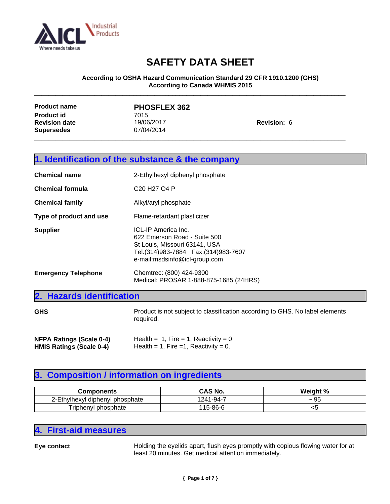

#### **According to OSHA Hazard Communication Standard 29 CFR 1910.1200 (GHS) According to Canada WHMIS 2015**

\_\_\_\_\_\_\_\_\_\_\_\_\_\_\_\_\_\_\_\_\_\_\_\_\_\_\_\_\_\_\_\_\_\_\_\_\_\_\_\_\_\_\_\_\_\_\_\_\_\_\_\_\_\_\_\_\_\_\_\_\_\_\_\_\_\_\_\_\_\_\_\_\_\_\_\_\_\_\_\_\_\_\_\_\_\_\_\_

| <b>Product name</b>  | <b>PHOSFLEX 362</b> |                    |
|----------------------|---------------------|--------------------|
| <b>Product id</b>    | 7015                |                    |
| <b>Revision date</b> | 19/06/2017          | <b>Revision: 6</b> |
| <b>Supersedes</b>    | 07/04/2014          |                    |
|                      |                     |                    |

|                                 | 1. Identification of the substance & the company                                                                      |
|---------------------------------|-----------------------------------------------------------------------------------------------------------------------|
| <b>Chemical name</b>            | 2-Ethylhexyl diphenyl phosphate                                                                                       |
| <b>Chemical formula</b>         | C <sub>20</sub> H <sub>27</sub> O <sub>4</sub> P                                                                      |
| <b>Chemical family</b>          | Alkyl/aryl phosphate                                                                                                  |
| Type of product and use         | Flame-retardant plasticizer                                                                                           |
| <b>Supplier</b>                 | ICL-IP America Inc.<br>622 Emerson Road - Suite 500<br>St Louis, Missouri 63141, USA<br>e-mail:msdsinfo@icl-group.com |
| <b>Emergency Telephone</b>      | Chemtrec: (800) 424-9300<br>Medical: PROSAR 1-888-875-1685 (24HRS)                                                    |
| 2. Hazards identification       |                                                                                                                       |
| <b>GHS</b>                      | Product is not subject to classification according to GHS. No label elements<br>required.                             |
| <b>NEDA Ratings (Seale 0-4)</b> | Health $-1$ Fire $-1$ Reactivity $-0$                                                                                 |

**NFPA Ratings (Scale 0-4)** Health = 1, Fire = 1, Reactivity = 0<br> **HMIS Ratings (Scale 0-4)** Health = 1, Fire =1, Reactivity = 0.  $Health = 1, Fire =1, Reactivity = 0.$ 

### **3. Composition / information on ingredients**

| Components                                                | CAS No.                   | Weight %       |
|-----------------------------------------------------------|---------------------------|----------------|
| E+L.<br>bhosphate<br>!-Ethvlhex∨l<br>diphenvi<br><u>_</u> | $1 - 94 - 7$<br>241<br>∠⊣ | $\sim$ M<br>ູບ |
| $\sim$<br>phosphate<br>nenvl<br>ript                      | ՝ 15-86-ւ                 | ີ              |

### **4. First-aid measures**

**Eye contact Exercise Exercises** Holding the eyelids apart, flush eyes promptly with copious flowing water for at least 20 minutes. Get medical attention immediately.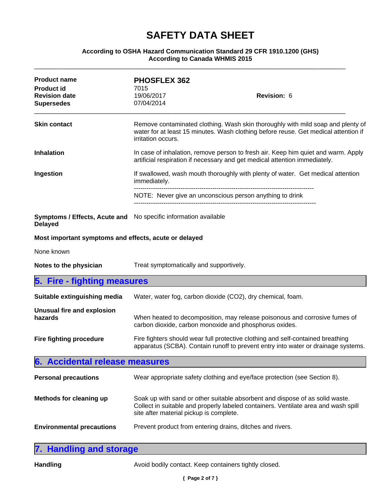#### **According to OSHA Hazard Communication Standard 29 CFR 1910.1200 (GHS) According to Canada WHMIS 2015**

| <b>Product name</b><br><b>Product id</b><br><b>Revision date</b>                  | <b>PHOSFLEX 362</b><br>7015<br>19/06/2017 | <b>Revision: 6</b>                                                                                                                                                     |
|-----------------------------------------------------------------------------------|-------------------------------------------|------------------------------------------------------------------------------------------------------------------------------------------------------------------------|
| <b>Supersedes</b>                                                                 | 07/04/2014                                |                                                                                                                                                                        |
| <b>Skin contact</b>                                                               | irritation occurs.                        | Remove contaminated clothing. Wash skin thoroughly with mild soap and plenty of<br>water for at least 15 minutes. Wash clothing before reuse. Get medical attention if |
| <b>Inhalation</b>                                                                 |                                           | In case of inhalation, remove person to fresh air. Keep him quiet and warm. Apply<br>artificial respiration if necessary and get medical attention immediately.        |
| Ingestion                                                                         | immediately.                              | If swallowed, wash mouth thoroughly with plenty of water. Get medical attention                                                                                        |
|                                                                                   |                                           | NOTE: Never give an unconscious person anything to drink                                                                                                               |
| Symptoms / Effects, Acute and No specific information available<br><b>Delayed</b> |                                           |                                                                                                                                                                        |
| Most important symptoms and effects, acute or delayed                             |                                           |                                                                                                                                                                        |
| None known                                                                        |                                           |                                                                                                                                                                        |
| Notes to the physician                                                            | Treat symptomatically and supportively.   |                                                                                                                                                                        |
| 5. Fire - fighting measures                                                       |                                           |                                                                                                                                                                        |
| Suitable extinguishing media                                                      |                                           | Water, water fog, carbon dioxide (CO2), dry chemical, foam.                                                                                                            |
| Unusual fire and explosion<br>hazards                                             |                                           | When heated to decomposition, may release poisonous and corrosive fumes of<br>carbon dioxide, carbon monoxide and phosphorus oxides.                                   |
| Fire fighting procedure                                                           |                                           | Fire fighters should wear full protective clothing and self-contained breathing<br>apparatus (SCBA). Contain runoff to prevent entry into water or drainage systems.   |
| 6. Accidental release measures                                                    |                                           |                                                                                                                                                                        |
| <b>Personal precautions</b>                                                       |                                           | Wear appropriate safety clothing and eye/face protection (see Section 8).                                                                                              |
| Methods for cleaning up                                                           | site after material pickup is complete.   | Soak up with sand or other suitable absorbent and dispose of as solid waste.<br>Collect in suitable and properly labeled containers. Ventilate area and wash spill     |
| <b>Environmental precautions</b>                                                  |                                           | Prevent product from entering drains, ditches and rivers.                                                                                                              |
|                                                                                   |                                           |                                                                                                                                                                        |

| 7. Handling and storage |  |
|-------------------------|--|
|                         |  |

Handling **Handling** Avoid bodily contact. Keep containers tightly closed.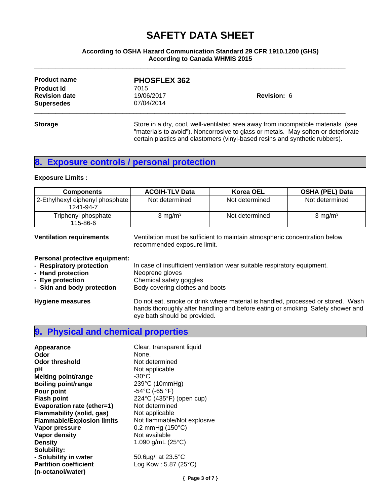#### **According to OSHA Hazard Communication Standard 29 CFR 1910.1200 (GHS) According to Canada WHMIS 2015**

\_\_\_\_\_\_\_\_\_\_\_\_\_\_\_\_\_\_\_\_\_\_\_\_\_\_\_\_\_\_\_\_\_\_\_\_\_\_\_\_\_\_\_\_\_\_\_\_\_\_\_\_\_\_\_\_\_\_\_\_\_\_\_\_\_\_\_\_\_\_\_\_\_\_\_\_\_\_\_\_\_\_\_\_\_\_\_\_

| <b>Product name</b>  | <b>PHOSFLEX 362</b> |                                                                                   |
|----------------------|---------------------|-----------------------------------------------------------------------------------|
| <b>Product id</b>    | 7015                |                                                                                   |
| <b>Revision date</b> | 19/06/2017          | <b>Revision: 6</b>                                                                |
| <b>Supersedes</b>    | 07/04/2014          |                                                                                   |
| <b>Storage</b>       |                     | Store in a dry, cool, well-ventilated area away from incompatible materials (see  |
|                      |                     | "materials to avoid"). Noncorrosive to glass or metals. May soften or deteriorate |
|                      |                     | certain plastics and elastomers (vinyl-based resins and synthetic rubbers).       |

## **8. Exposure controls / personal protection**

#### **Exposure Limits :**

| <b>Components</b>                              | <b>ACGIH-TLV Data</b> | Korea OEL      | <b>OSHA (PEL) Data</b> |
|------------------------------------------------|-----------------------|----------------|------------------------|
| 2-Ethylhexyl diphenyl phosphate  <br>1241-94-7 | Not determined        | Not determined | Not determined         |
| Triphenyl phosphate<br>115-86-6                | $3 \text{ mg/m}^3$    | Not determined | $3 \text{ mg/m}^3$     |

**Ventilation requirements** Ventilation must be sufficient to maintain atmospheric concentration below recommended exposure limit.

#### **Personal protective equipment:**

**- Respiratory protection** In case of insufficient ventilation wear suitable respiratory equipment.<br> **- Hand protection** Neoprene gloves **- Hand protection**<br>**- Eye protection - Eye protection**<br> **- Skin and body protection**<br> **Body covering clothes and Body covering clothes and Body covering clothes and Body** Body covering clothes and boots

**Hygiene measures** Do not eat, smoke or drink where material is handled, processed or stored. Wash hands thoroughly after handling and before eating or smoking. Safety shower and eye bath should be provided.

#### **9. Physical and chemical properties**

| Appearance                        | Clear, transparent liquid          |
|-----------------------------------|------------------------------------|
| Odor                              | None.                              |
| <b>Odor threshold</b>             | Not determined                     |
| рH                                | Not applicable                     |
| <b>Melting point/range</b>        | $-30^{\circ}$ C                    |
| <b>Boiling point/range</b>        | 239°C (10mmHg)                     |
| Pour point                        | $-54^{\circ}$ C (-65 $^{\circ}$ F) |
| <b>Flash point</b>                | 224°C (435°F) (open cup)           |
| Evaporation rate (ether=1)        | Not determined                     |
| Flammability (solid, gas)         | Not applicable                     |
| <b>Flammable/Explosion limits</b> | Not flammable/Not explosive        |
| Vapor pressure                    | $0.2$ mmHg (150 $^{\circ}$ C)      |
| Vapor density                     | Not available                      |
| <b>Density</b>                    | 1.090 g/mL $(25^{\circ}C)$         |
| Solubility:                       |                                    |
| - Solubility in water             | 50.6µg/l at 23.5°C                 |
| <b>Partition coefficient</b>      | Log Kow: $5.87$ (25 $^{\circ}$ C)  |
| (n-octanol/water)                 |                                    |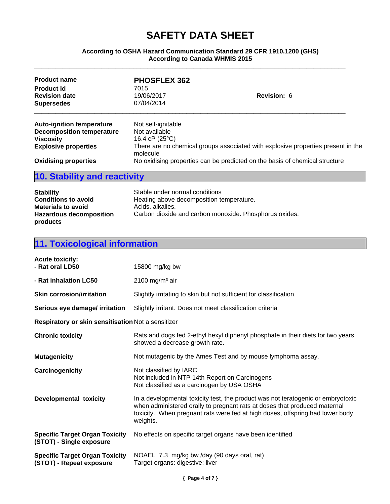#### **According to OSHA Hazard Communication Standard 29 CFR 1910.1200 (GHS) According to Canada WHMIS 2015**

\_\_\_\_\_\_\_\_\_\_\_\_\_\_\_\_\_\_\_\_\_\_\_\_\_\_\_\_\_\_\_\_\_\_\_\_\_\_\_\_\_\_\_\_\_\_\_\_\_\_\_\_\_\_\_\_\_\_\_\_\_\_\_\_\_\_\_\_\_\_\_\_\_\_\_\_\_\_\_\_\_\_\_\_\_\_\_\_

| <b>Product name</b>              | <b>PHOSFLEX 362</b>     |                                                                                  |
|----------------------------------|-------------------------|----------------------------------------------------------------------------------|
| <b>Product id</b>                | 7015                    |                                                                                  |
| <b>Revision date</b>             | 19/06/2017              | <b>Revision: 6</b>                                                               |
| <b>Supersedes</b>                | 07/04/2014              |                                                                                  |
| <b>Auto-ignition temperature</b> | Not self-ignitable      |                                                                                  |
| <b>Decomposition temperature</b> | Not available           |                                                                                  |
| <b>Viscosity</b>                 | 16.4 cP $(25^{\circ}C)$ |                                                                                  |
| <b>Explosive properties</b>      | molecule                | There are no chemical groups associated with explosive properties present in the |
| <b>Oxidising properties</b>      |                         | No oxidising properties can be predicted on the basis of chemical structure      |

## **10. Stability and reactivity**

| <b>Stability</b>               | Stable under normal conditions                         |
|--------------------------------|--------------------------------------------------------|
| <b>Conditions to avoid</b>     | Heating above decomposition temperature.               |
| <b>Materials to avoid</b>      | Acids, alkalies,                                       |
| <b>Hazardous decomposition</b> | Carbon dioxide and carbon monoxide. Phosphorus oxides. |
| products                       |                                                        |

## **11. Toxicological information**

| <b>Acute toxicity:</b><br>- Rat oral LD50                         | 15800 mg/kg bw                                                                                                                                                                                                                                             |
|-------------------------------------------------------------------|------------------------------------------------------------------------------------------------------------------------------------------------------------------------------------------------------------------------------------------------------------|
| - Rat inhalation LC50                                             | 2100 mg/m <sup>3</sup> air                                                                                                                                                                                                                                 |
| <b>Skin corrosion/irritation</b>                                  | Slightly irritating to skin but not sufficient for classification.                                                                                                                                                                                         |
| Serious eye damage/ irritation                                    | Slightly irritant. Does not meet classification criteria                                                                                                                                                                                                   |
| Respiratory or skin sensitisation Not a sensitizer                |                                                                                                                                                                                                                                                            |
| <b>Chronic toxicity</b>                                           | Rats and dogs fed 2-ethyl hexyl diphenyl phosphate in their diets for two years<br>showed a decrease growth rate.                                                                                                                                          |
| <b>Mutagenicity</b>                                               | Not mutagenic by the Ames Test and by mouse lymphoma assay.                                                                                                                                                                                                |
| Carcinogenicity                                                   | Not classified by IARC<br>Not included in NTP 14th Report on Carcinogens<br>Not classified as a carcinogen by USA OSHA                                                                                                                                     |
| Developmental toxicity                                            | In a developmental toxicity test, the product was not teratogenic or embryotoxic<br>when administered orally to pregnant rats at doses that produced maternal<br>toxicity. When pregnant rats were fed at high doses, offspring had lower body<br>weights. |
| <b>Specific Target Organ Toxicity</b><br>(STOT) - Single exposure | No effects on specific target organs have been identified                                                                                                                                                                                                  |
| <b>Specific Target Organ Toxicity</b><br>(STOT) - Repeat exposure | NOAEL 7.3 mg/kg bw /day (90 days oral, rat)<br>Target organs: digestive: liver                                                                                                                                                                             |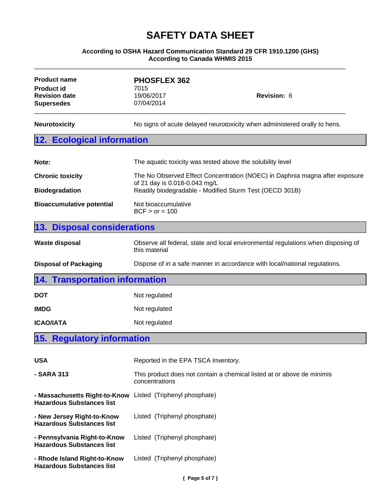#### **According to OSHA Hazard Communication Standard 29 CFR 1910.1200 (GHS) According to Canada WHMIS 2015**

\_\_\_\_\_\_\_\_\_\_\_\_\_\_\_\_\_\_\_\_\_\_\_\_\_\_\_\_\_\_\_\_\_\_\_\_\_\_\_\_\_\_\_\_\_\_\_\_\_\_\_\_\_\_\_\_\_\_\_\_\_\_\_\_\_\_\_\_\_\_\_\_\_\_\_\_\_\_\_\_\_\_\_\_\_\_\_\_

| <b>Product name</b><br><b>Product id</b><br><b>Revision date</b><br><b>Supersedes</b> | <b>PHOSFLEX 362</b><br>7015<br>19/06/2017<br>Revision: 6<br>07/04/2014                                                                                                  |  |
|---------------------------------------------------------------------------------------|-------------------------------------------------------------------------------------------------------------------------------------------------------------------------|--|
| <b>Neurotoxicity</b>                                                                  | No signs of acute delayed neurotoxicity when administered orally to hens.                                                                                               |  |
| <b>Ecological information</b><br>12.                                                  |                                                                                                                                                                         |  |
| Note:                                                                                 | The aquatic toxicity was tested above the solubility level                                                                                                              |  |
| <b>Chronic toxicity</b><br><b>Biodegradation</b>                                      | The No Observed Effect Concentration (NOEC) in Daphnia magna after exposure<br>of 21 day is 0.018-0.043 mg/L<br>Readily biodegradable - Modified Sturm Test (OECD 301B) |  |
| <b>Bioaccumulative potential</b>                                                      | Not bioaccumulative<br>$BCF > or = 100$                                                                                                                                 |  |
| <b>Disposal considerations</b><br>13.                                                 |                                                                                                                                                                         |  |
| <b>Waste disposal</b>                                                                 | Observe all federal, state and local environmental regulations when disposing of<br>this material                                                                       |  |
| <b>Disposal of Packaging</b>                                                          | Dispose of in a safe manner in accordance with local/national regulations.                                                                                              |  |
| <b>Transportation information</b><br>14.                                              |                                                                                                                                                                         |  |
| <b>DOT</b>                                                                            | Not regulated                                                                                                                                                           |  |
| <b>IMDG</b>                                                                           | Not regulated                                                                                                                                                           |  |
|                                                                                       | Not regulated                                                                                                                                                           |  |
| <b>ICAO/IATA</b>                                                                      |                                                                                                                                                                         |  |
| <b>Regulatory information</b><br>15.                                                  |                                                                                                                                                                         |  |
| <b>USA</b>                                                                            | Reported in the EPA TSCA Inventory.                                                                                                                                     |  |
| - SARA 313                                                                            | This product does not contain a chemical listed at or above de minimis<br>concentrations                                                                                |  |
| - Massachusetts Right-to-Know<br><b>Hazardous Substances list</b>                     | Listed (Triphenyl phosphate)                                                                                                                                            |  |
| - New Jersey Right-to-Know<br><b>Hazardous Substances list</b>                        | Listed (Triphenyl phosphate)                                                                                                                                            |  |
| - Pennsylvania Right-to-Know<br><b>Hazardous Substances list</b>                      | Listed (Triphenyl phosphate)                                                                                                                                            |  |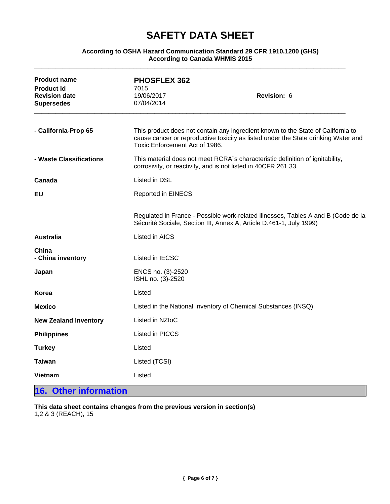#### **According to OSHA Hazard Communication Standard 29 CFR 1910.1200 (GHS) According to Canada WHMIS 2015**

\_\_\_\_\_\_\_\_\_\_\_\_\_\_\_\_\_\_\_\_\_\_\_\_\_\_\_\_\_\_\_\_\_\_\_\_\_\_\_\_\_\_\_\_\_\_\_\_\_\_\_\_\_\_\_\_\_\_\_\_\_\_\_\_\_\_\_\_\_\_\_\_\_\_\_\_\_\_\_\_\_\_\_\_\_\_\_\_

| <b>Product name</b><br><b>Product id</b><br><b>Revision date</b> | <b>PHOSFLEX 362</b><br>7015<br>19/06/2017                       | Revision: 6                                                                                                                                                            |  |
|------------------------------------------------------------------|-----------------------------------------------------------------|------------------------------------------------------------------------------------------------------------------------------------------------------------------------|--|
| <b>Supersedes</b>                                                | 07/04/2014                                                      |                                                                                                                                                                        |  |
| - California-Prop 65                                             | Toxic Enforcement Act of 1986.                                  | This product does not contain any ingredient known to the State of California to<br>cause cancer or reproductive toxicity as listed under the State drinking Water and |  |
| - Waste Classifications                                          |                                                                 | This material does not meet RCRA's characteristic definition of ignitability,<br>corrosivity, or reactivity, and is not listed in 40CFR 261.33.                        |  |
| Canada                                                           | Listed in DSL                                                   |                                                                                                                                                                        |  |
| <b>EU</b>                                                        | <b>Reported in EINECS</b>                                       |                                                                                                                                                                        |  |
|                                                                  |                                                                 | Regulated in France - Possible work-related illnesses, Tables A and B (Code de la<br>Sécurité Sociale, Section III, Annex A, Article D.461-1, July 1999)               |  |
| <b>Australia</b>                                                 | Listed in AICS                                                  |                                                                                                                                                                        |  |
| China<br>- China inventory                                       | Listed in IECSC                                                 |                                                                                                                                                                        |  |
| Japan                                                            | ENCS no. (3)-2520<br>ISHL no. (3)-2520                          |                                                                                                                                                                        |  |
| Korea                                                            | Listed                                                          |                                                                                                                                                                        |  |
| <b>Mexico</b>                                                    | Listed in the National Inventory of Chemical Substances (INSQ). |                                                                                                                                                                        |  |
| <b>New Zealand Inventory</b>                                     | Listed in NZIoC                                                 |                                                                                                                                                                        |  |
| <b>Philippines</b>                                               | Listed in PICCS                                                 |                                                                                                                                                                        |  |
| <b>Turkey</b>                                                    | Listed                                                          |                                                                                                                                                                        |  |
| <b>Taiwan</b>                                                    | Listed (TCSI)                                                   |                                                                                                                                                                        |  |
| <b>Vietnam</b>                                                   | Listed                                                          |                                                                                                                                                                        |  |

### **16. Other information**

**This data sheet contains changes from the previous version in section(s)** 1,2 & 3 (REACH), 15